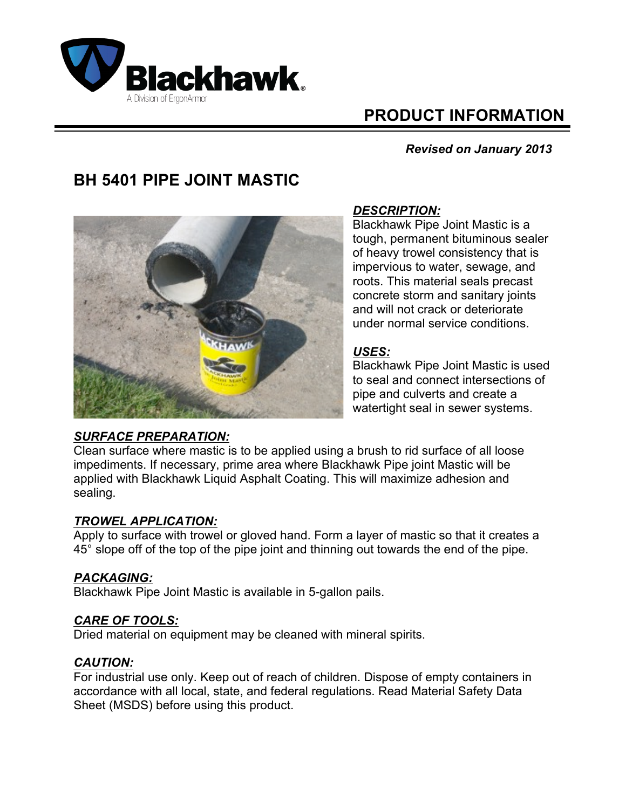

# **PRODUCT INFORMATION**

## *Revised on January 2013*

## **BH 5401 PIPE JOINT MASTIC**



## *DESCRIPTION:*

Blackhawk Pipe Joint Mastic is a tough, permanent bituminous sealer of heavy trowel consistency that is impervious to water, sewage, and roots. This material seals precast concrete storm and sanitary joints and will not crack or deteriorate under normal service conditions.

## *USES:*

Blackhawk Pipe Joint Mastic is used to seal and connect intersections of pipe and culverts and create a watertight seal in sewer systems.

#### *SURFACE PREPARATION:*

Clean surface where mastic is to be applied using a brush to rid surface of all loose impediments. If necessary, prime area where Blackhawk Pipe joint Mastic will be applied with Blackhawk Liquid Asphalt Coating. This will maximize adhesion and sealing.

#### *TROWEL APPLICATION:*

Apply to surface with trowel or gloved hand. Form a layer of mastic so that it creates a 45° slope off of the top of the pipe joint and thinning out towards the end of the pipe.

## *PACKAGING:*

Blackhawk Pipe Joint Mastic is available in 5-gallon pails.

#### *CARE OF TOOLS:*

Dried material on equipment may be cleaned with mineral spirits.

## *CAUTION:*

For industrial use only. Keep out of reach of children. Dispose of empty containers in accordance with all local, state, and federal regulations. Read Material Safety Data Sheet (MSDS) before using this product.